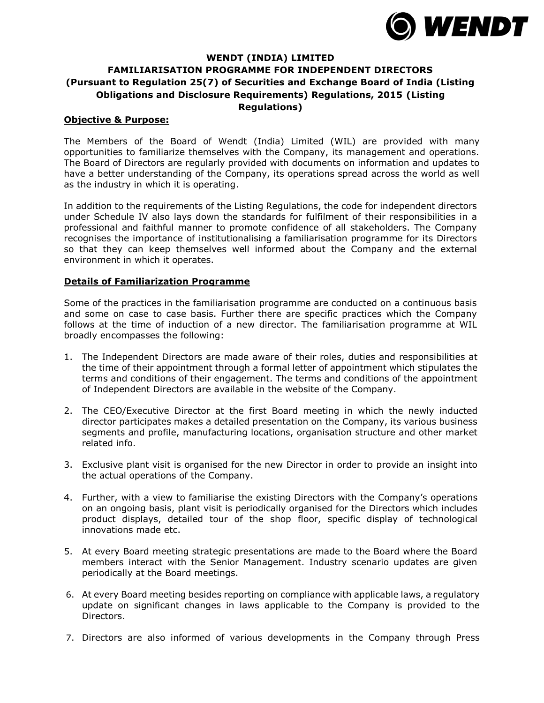

## **WENDT (INDIA) LIMITED FAMILIARISATION PROGRAMME FOR INDEPENDENT DIRECTORS (Pursuant to Regulation 25(7) of Securities and Exchange Board of India (Listing Obligations and Disclosure Requirements) Regulations, 2015 (Listing Regulations)**

## **Objective & Purpose:**

The Members of the Board of Wendt (India) Limited (WIL) are provided with many opportunities to familiarize themselves with the Company, its management and operations. The Board of Directors are regularly provided with documents on information and updates to have a better understanding of the Company, its operations spread across the world as well as the industry in which it is operating.

In addition to the requirements of the Listing Regulations, the code for independent directors under Schedule IV also lays down the standards for fulfilment of their responsibilities in a professional and faithful manner to promote confidence of all stakeholders. The Company recognises the importance of institutionalising a familiarisation programme for its Directors so that they can keep themselves well informed about the Company and the external environment in which it operates.

## **Details of Familiarization Programme**

Some of the practices in the familiarisation programme are conducted on a continuous basis and some on case to case basis. Further there are specific practices which the Company follows at the time of induction of a new director. The familiarisation programme at WIL broadly encompasses the following:

- 1. The Independent Directors are made aware of their roles, duties and responsibilities at the time of their appointment through a formal letter of appointment which stipulates the terms and conditions of their engagement. The terms and conditions of the appointment of Independent Directors are available in the website of the Company.
- 2. The CEO/Executive Director at the first Board meeting in which the newly inducted director participates makes a detailed presentation on the Company, its various business segments and profile, manufacturing locations, organisation structure and other market related info.
- 3. Exclusive plant visit is organised for the new Director in order to provide an insight into the actual operations of the Company.
- 4. Further, with a view to familiarise the existing Directors with the Company's operations on an ongoing basis, plant visit is periodically organised for the Directors which includes product displays, detailed tour of the shop floor, specific display of technological innovations made etc.
- 5. At every Board meeting strategic presentations are made to the Board where the Board members interact with the Senior Management. Industry scenario updates are given periodically at the Board meetings.
- 6. At every Board meeting besides reporting on compliance with applicable laws, a regulatory update on significant changes in laws applicable to the Company is provided to the Directors.
- 7. Directors are also informed of various developments in the Company through Press